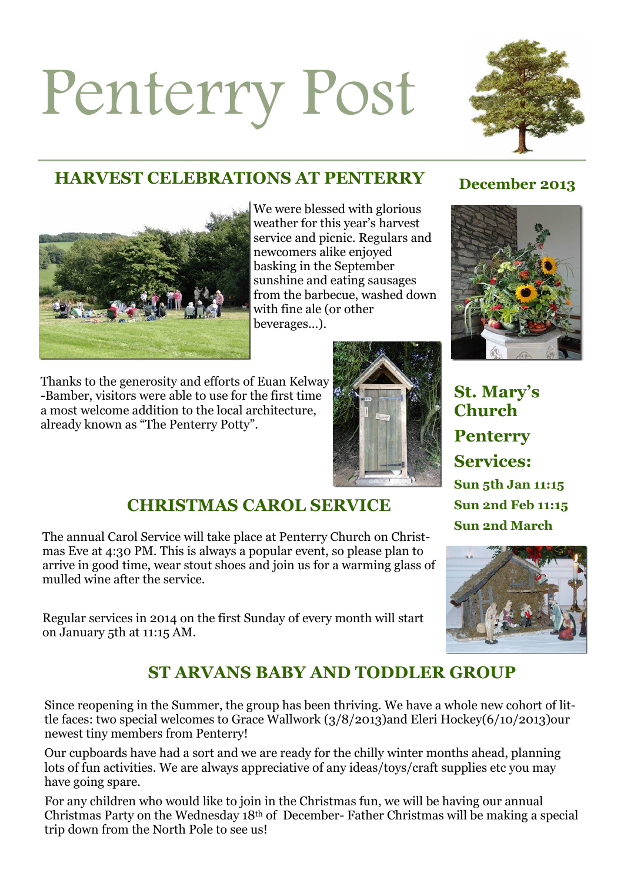# Penterry Post



# **HARVEST CELEBRATIONS AT PENTERRY** December 2013



We were blessed with glorious weather for this year's harvest service and picnic. Regulars and newcomers alike enjoyed basking in the September sunshine and eating sausages from the barbecue, washed down with fine ale (or other beverages...).

Thanks to the generosity and efforts of Euan Kelway -Bamber, visitors were able to use for the first time a most welcome addition to the local architecture, already known as "The Penterry Potty".



# **St. Mary's Church Penterry Services: Sun 5th Jan 11:15 Sun 2nd Feb 11:15 Sun 2nd March**



### **CHRISTMAS CAROL SERVICE**

The annual Carol Service will take place at Penterry Church on Christmas Eve at 4:30 PM. This is always a popular event, so please plan to arrive in good time, wear stout shoes and join us for a warming glass of mulled wine after the service.

Regular services in 2014 on the first Sunday of every month will start on January 5th at 11:15 AM.

# **ST ARVANS BABY AND TODDLER GROUP**

Since reopening in the Summer, the group has been thriving. We have a whole new cohort of little faces: two special welcomes to Grace Wallwork (3/8/2013)and Eleri Hockey(6/10/2013)our newest tiny members from Penterry!

Our cupboards have had a sort and we are ready for the chilly winter months ahead, planning lots of fun activities. We are always appreciative of any ideas/toys/craft supplies etc you may have going spare.

For any children who would like to join in the Christmas fun, we will be having our annual Christmas Party on the Wednesday 18th of December- Father Christmas will be making a special trip down from the North Pole to see us!